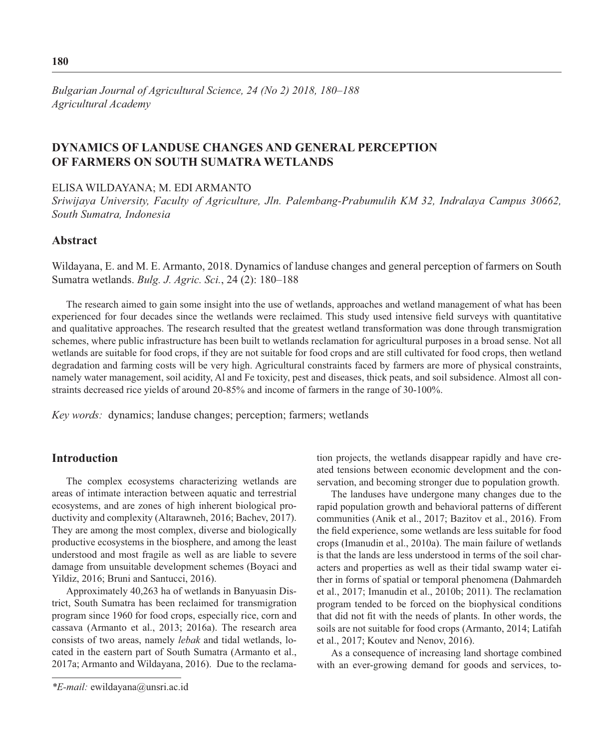*Bulgarian Journal of Agricultural Science, 24 (No 2) 2018, 180–188 Agricultural Academy*

# **DYNAMICS OF LANDUSE CHANGES AND GENERAL PERCEPTION OF FARMERS ON SOUTH SUMATRA WETLANDS**

### ELISA WILDAYANA; M. EDI ARMANTO

*Sriwijaya University, Faculty of Agriculture, Jln. Palembang-Prabumulih KM 32, Indralaya Campus 30662, South Sumatra, Indonesia*

# **Abstract**

Wildayana, E. and M. E. Armanto, 2018. Dynamics of landuse changes and general perception of farmers on South Sumatra wetlands. *Bulg. J. Agric. Sci.*, 24 (2): 180–188

The research aimed to gain some insight into the use of wetlands, approaches and wetland management of what has been experienced for four decades since the wetlands were reclaimed. This study used intensive field surveys with quantitative and qualitative approaches. The research resulted that the greatest wetland transformation was done through transmigration schemes, where public infrastructure has been built to wetlands reclamation for agricultural purposes in a broad sense. Not all wetlands are suitable for food crops, if they are not suitable for food crops and are still cultivated for food crops, then wetland degradation and farming costs will be very high. Agricultural constraints faced by farmers are more of physical constraints, namely water management, soil acidity, Al and Fe toxicity, pest and diseases, thick peats, and soil subsidence. Almost all constraints decreased rice yields of around 20-85% and income of farmers in the range of 30-100%.

*Key words:* dynamics; landuse changes; perception; farmers; wetlands

## **Introduction**

The complex ecosystems characterizing wetlands are areas of intimate interaction between aquatic and terrestrial ecosystems, and are zones of high inherent biological productivity and complexity (Altarawneh, 2016; Bachev, 2017). They are among the most complex, diverse and biologically productive ecosystems in the biosphere, and among the least understood and most fragile as well as are liable to severe damage from unsuitable development schemes (Boyaci and Yildiz, 2016; Bruni and Santucci, 2016).

Approximately 40,263 ha of wetlands in Banyuasin District, South Sumatra has been reclaimed for transmigration program since 1960 for food crops, especially rice, corn and cassava (Armanto et al., 2013; 2016a). The research area consists of two areas, namely *lebak* and tidal wetlands, located in the eastern part of South Sumatra (Armanto et al., 2017a; Armanto and Wildayana, 2016). Due to the reclamation projects, the wetlands disappear rapidly and have created tensions between economic development and the conservation, and becoming stronger due to population growth.

The landuses have undergone many changes due to the rapid population growth and behavioral patterns of different communities (Anik et al., 2017; Bazitov et al., 2016). From the field experience, some wetlands are less suitable for food crops (Imanudin et al., 2010a). The main failure of wetlands is that the lands are less understood in terms of the soil characters and properties as well as their tidal swamp water either in forms of spatial or temporal phenomena (Dahmardeh et al., 2017; Imanudin et al., 2010b; 2011). The reclamation program tended to be forced on the biophysical conditions that did not fit with the needs of plants. In other words, the soils are not suitable for food crops (Armanto, 2014; Latifah et al., 2017; Koutev and Nenov, 2016).

As a consequence of increasing land shortage combined with an ever-growing demand for goods and services, to-

*<sup>\*</sup>E-mail:* ewildayana@unsri.ac.id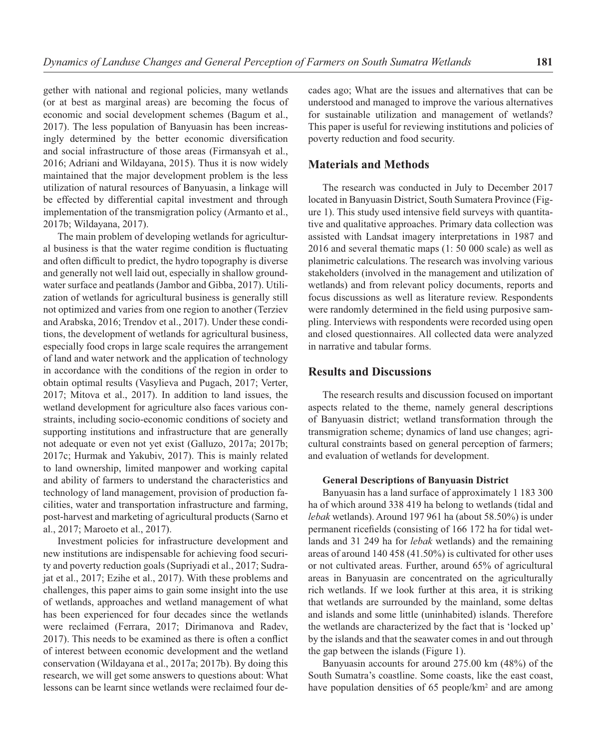gether with national and regional policies, many wetlands (or at best as marginal areas) are becoming the focus of economic and social development schemes (Bagum et al., 2017). The less population of Banyuasin has been increasingly determined by the better economic diversification and social infrastructure of those areas (Firmansyah et al., 2016; Adriani and Wildayana, 2015). Thus it is now widely maintained that the major development problem is the less utilization of natural resources of Banyuasin, a linkage will be effected by differential capital investment and through implementation of the transmigration policy (Armanto et al., 2017b; Wildayana, 2017).

The main problem of developing wetlands for agricultural business is that the water regime condition is fluctuating and often difficult to predict, the hydro topography is diverse and generally not well laid out, especially in shallow groundwater surface and peatlands (Jambor and Gibba, 2017). Utilization of wetlands for agricultural business is generally still not optimized and varies from one region to another (Terziev and Arabska, 2016; Trendov et al., 2017). Under these conditions, the development of wetlands for agricultural business, especially food crops in large scale requires the arrangement of land and water network and the application of technology in accordance with the conditions of the region in order to obtain optimal results (Vasylieva and Pugach, 2017; Verter, 2017; Mitova et al., 2017). In addition to land issues, the wetland development for agriculture also faces various constraints, including socio-economic conditions of society and supporting institutions and infrastructure that are generally not adequate or even not yet exist (Galluzo, 2017a; 2017b; 2017c; Hurmak and Yakubiv, 2017). This is mainly related to land ownership, limited manpower and working capital and ability of farmers to understand the characteristics and technology of land management, provision of production facilities, water and transportation infrastructure and farming, post-harvest and marketing of agricultural products (Sarno et al., 2017; Maroeto et al., 2017).

Investment policies for infrastructure development and new institutions are indispensable for achieving food security and poverty reduction goals (Supriyadi et al., 2017; Sudrajat et al., 2017; Ezihe et al., 2017). With these problems and challenges, this paper aims to gain some insight into the use of wetlands, approaches and wetland management of what has been experienced for four decades since the wetlands were reclaimed (Ferrara, 2017; Dirimanova and Radev, 2017). This needs to be examined as there is often a conflict of interest between economic development and the wetland conservation (Wildayana et al., 2017a; 2017b). By doing this research, we will get some answers to questions about: What lessons can be learnt since wetlands were reclaimed four de-

cades ago; What are the issues and alternatives that can be understood and managed to improve the various alternatives for sustainable utilization and management of wetlands? This paper is useful for reviewing institutions and policies of poverty reduction and food security.

## **Materials and Methods**

The research was conducted in July to December 2017 located in Banyuasin District, South Sumatera Province (Figure 1). This study used intensive field surveys with quantitative and qualitative approaches. Primary data collection was assisted with Landsat imagery interpretations in 1987 and 2016 and several thematic maps (1: 50 000 scale) as well as planimetric calculations. The research was involving various stakeholders (involved in the management and utilization of wetlands) and from relevant policy documents, reports and focus discussions as well as literature review. Respondents were randomly determined in the field using purposive sampling. Interviews with respondents were recorded using open and closed questionnaires. All collected data were analyzed in narrative and tabular forms.

# **Results and Discussions**

The research results and discussion focused on important aspects related to the theme, namely general descriptions of Banyuasin district; wetland transformation through the transmigration scheme; dynamics of land use changes; agricultural constraints based on general perception of farmers; and evaluation of wetlands for development.

#### **General Descriptions of Banyuasin District**

Banyuasin has a land surface of approximately 1 183 300 ha of which around 338 419 ha belong to wetlands (tidal and *lebak* wetlands). Around 197 961 ha (about 58.50%) is under permanent ricefields (consisting of 166 172 ha for tidal wetlands and 31 249 ha for *lebak* wetlands) and the remaining areas of around 140 458 (41.50%) is cultivated for other uses or not cultivated areas. Further, around 65% of agricultural areas in Banyuasin are concentrated on the agriculturally rich wetlands. If we look further at this area, it is striking that wetlands are surrounded by the mainland, some deltas and islands and some little (uninhabited) islands. Therefore the wetlands are characterized by the fact that is 'locked up' by the islands and that the seawater comes in and out through the gap between the islands (Figure 1).

Banyuasin accounts for around 275.00 km (48%) of the South Sumatra's coastline. Some coasts, like the east coast, have population densities of 65 people/km<sup>2</sup> and are among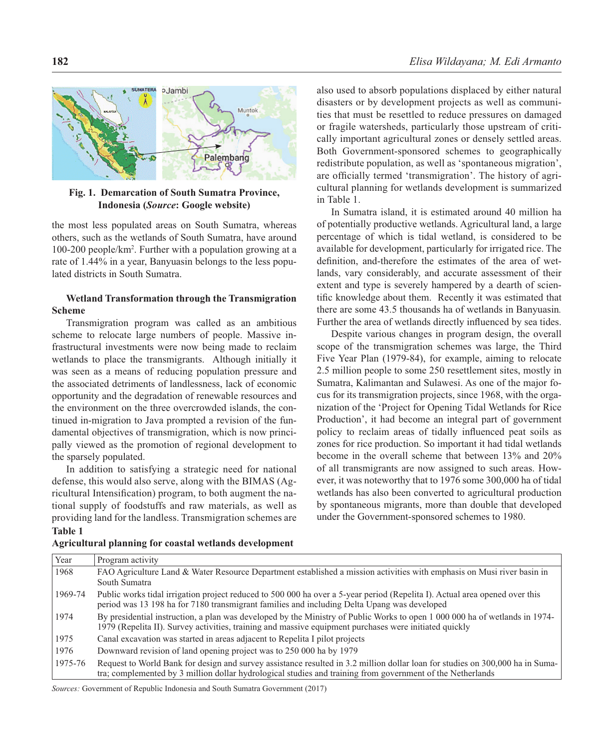

**Fig. 1. Demarcation of South Sumatra Province, Indonesia (***Source***: Google website)** 

the most less populated areas on South Sumatra, whereas others, such as the wetlands of South Sumatra, have around 100-200 people/km2 . Further with a population growing at a rate of 1.44% in a year, Banyuasin belongs to the less populated districts in South Sumatra.

### **Wetland Transformation through the Transmigration Scheme**

Transmigration program was called as an ambitious scheme to relocate large numbers of people. Massive infrastructural investments were now being made to reclaim wetlands to place the transmigrants. Although initially it was seen as a means of reducing population pressure and the associated detriments of landlessness, lack of economic opportunity and the degradation of renewable resources and the environment on the three overcrowded islands, the continued in-migration to Java prompted a revision of the fundamental objectives of transmigration, which is now principally viewed as the promotion of regional development to the sparsely populated.

In addition to satisfying a strategic need for national defense, this would also serve, along with the BIMAS (Agricultural Intensification) program, to both augment the national supply of foodstuffs and raw materials, as well as providing land for the landless. Transmigration schemes are **Table 1**

also used to absorb populations displaced by either natural disasters or by development projects as well as communities that must be resettled to reduce pressures on damaged or fragile watersheds, particularly those upstream of critically important agricultural zones or densely settled areas. Both Government-sponsored schemes to geographically redistribute population, as well as 'spontaneous migration', are officially termed 'transmigration'. The history of agricultural planning for wetlands development is summarized in Table 1.

In Sumatra island, it is estimated around 40 million ha of potentially productive wetlands. Agricultural land, a large percentage of which is tidal wetland, is considered to be available for development, particularly for irrigated rice. The definition, and-therefore the estimates of the area of wetlands, vary considerably, and accurate assessment of their extent and type is severely hampered by a dearth of scientific knowledge about them. Recently it was estimated that there are some 43.5 thousands ha of wetlands in Banyuasin*.*  Further the area of wetlands directly influenced by sea tides.

Despite various changes in program design, the overall scope of the transmigration schemes was large, the Third Five Year Plan (1979-84), for example, aiming to relocate 2.5 million people to some 250 resettlement sites, mostly in Sumatra, Kalimantan and Sulawesi. As one of the major focus for its transmigration projects, since 1968, with the organization of the 'Project for Opening Tidal Wetlands for Rice Production', it had become an integral part of government policy to reclaim areas of tidally influenced peat soils as zones for rice production. So important it had tidal wetlands become in the overall scheme that between 13% and 20% of all transmigrants are now assigned to such areas. However, it was noteworthy that to 1976 some 300,000 ha of tidal wetlands has also been converted to agricultural production by spontaneous migrants, more than double that developed under the Government-sponsored schemes to 1980.

| Year    | Program activity                                                                                                                                                                                                                            |
|---------|---------------------------------------------------------------------------------------------------------------------------------------------------------------------------------------------------------------------------------------------|
| 1968    | FAO Agriculture Land & Water Resource Department established a mission activities with emphasis on Musi river basin in                                                                                                                      |
|         | South Sumatra                                                                                                                                                                                                                               |
| 1969-74 | Public works tidal irrigation project reduced to 500 000 ha over a 5-year period (Repelita I). Actual area opened over this<br>period was 13 198 ha for 7180 transmigrant families and including Delta Upang was developed                  |
| 1974    | By presidential instruction, a plan was developed by the Ministry of Public Works to open 1 000 000 ha of wetlands in 1974-<br>1979 (Repelita II). Survey activities, training and massive equipment purchases were initiated quickly       |
| 1975    | Canal excavation was started in areas adjacent to Repelita I pilot projects                                                                                                                                                                 |
| 1976    | Downward revision of land opening project was to 250 000 ha by 1979                                                                                                                                                                         |
| 1975-76 | Request to World Bank for design and survey assistance resulted in 3.2 million dollar loan for studies on 300,000 ha in Suma-<br>tra; complemented by 3 million dollar hydrological studies and training from government of the Netherlands |

**Agricultural planning for coastal wetlands development**

*Sources:* Government of Republic Indonesia and South Sumatra Government (2017)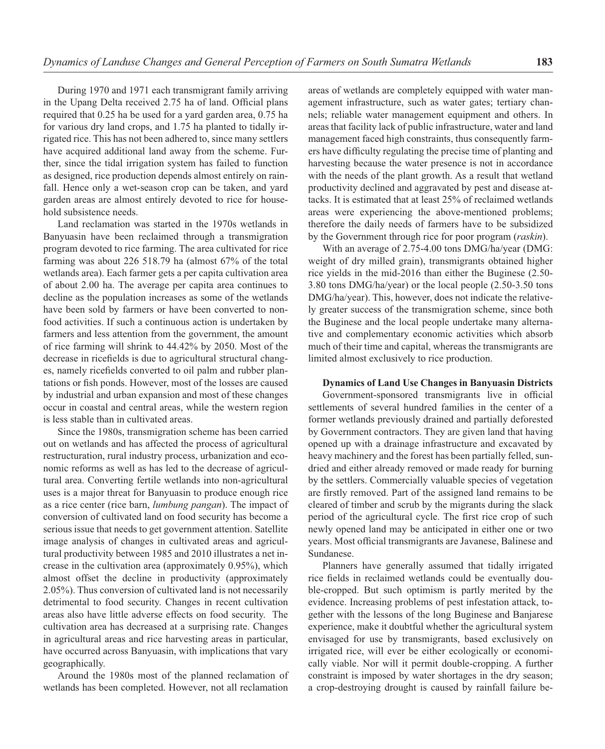During 1970 and 1971 each transmigrant family arriving in the Upang Delta received 2.75 ha of land. Official plans required that 0.25 ha be used for a yard garden area, 0.75 ha for various dry land crops, and 1.75 ha planted to tidally irrigated rice. This has not been adhered to, since many settlers have acquired additional land away from the scheme. Further, since the tidal irrigation system has failed to function as designed, rice production depends almost entirely on rainfall. Hence only a wet-season crop can be taken, and yard garden areas are almost entirely devoted to rice for household subsistence needs.

Land reclamation was started in the 1970s wetlands in Banyuasin have been reclaimed through a transmigration program devoted to rice farming. The area cultivated for rice farming was about 226 518.79 ha (almost 67% of the total wetlands area). Each farmer gets a per capita cultivation area of about 2.00 ha. The average per capita area continues to decline as the population increases as some of the wetlands have been sold by farmers or have been converted to nonfood activities. If such a continuous action is undertaken by farmers and less attention from the government, the amount of rice farming will shrink to 44.42% by 2050. Most of the decrease in ricefields is due to agricultural structural changes, namely ricefields converted to oil palm and rubber plantations or fish ponds. However, most of the losses are caused by industrial and urban expansion and most of these changes occur in coastal and central areas, while the western region is less stable than in cultivated areas.

Since the 1980s, transmigration scheme has been carried out on wetlands and has affected the process of agricultural restructuration, rural industry process, urbanization and economic reforms as well as has led to the decrease of agricultural area. Converting fertile wetlands into non-agricultural uses is a major threat for Banyuasin to produce enough rice as a rice center (rice barn, *lumbung pangan*). The impact of conversion of cultivated land on food security has become a serious issue that needs to get government attention. Satellite image analysis of changes in cultivated areas and agricultural productivity between 1985 and 2010 illustrates a net increase in the cultivation area (approximately 0.95%), which almost offset the decline in productivity (approximately 2.05%). Thus conversion of cultivated land is not necessarily detrimental to food security. Changes in recent cultivation areas also have little adverse effects on food security. The cultivation area has decreased at a surprising rate. Changes in agricultural areas and rice harvesting areas in particular, have occurred across Banyuasin, with implications that vary geographically.

Around the 1980s most of the planned reclamation of wetlands has been completed. However, not all reclamation

areas of wetlands are completely equipped with water management infrastructure, such as water gates; tertiary channels; reliable water management equipment and others. In areas that facility lack of public infrastructure, water and land management faced high constraints, thus consequently farmers have difficulty regulating the precise time of planting and harvesting because the water presence is not in accordance with the needs of the plant growth. As a result that wetland productivity declined and aggravated by pest and disease attacks. It is estimated that at least 25% of reclaimed wetlands areas were experiencing the above-mentioned problems; therefore the daily needs of farmers have to be subsidized by the Government through rice for poor program (*raskin*).

With an average of 2.75-4.00 tons DMG/ha/year (DMG: weight of dry milled grain), transmigrants obtained higher rice yields in the mid-2016 than either the Buginese (2.50- 3.80 tons DMG/ha/year) or the local people (2.50-3.50 tons DMG/ha/year). This, however, does not indicate the relatively greater success of the transmigration scheme, since both the Buginese and the local people undertake many alternative and complementary economic activities which absorb much of their time and capital, whereas the transmigrants are limited almost exclusively to rice production.

#### **Dynamics of Land Use Changes in Banyuasin Districts**

Government-sponsored transmigrants live in official settlements of several hundred families in the center of a former wetlands previously drained and partially deforested by Government contractors. They are given land that having opened up with a drainage infrastructure and excavated by heavy machinery and the forest has been partially felled, sundried and either already removed or made ready for burning by the settlers. Commercially valuable species of vegetation are firstly removed. Part of the assigned land remains to be cleared of timber and scrub by the migrants during the slack period of the agricultural cycle. The first rice crop of such newly opened land may be anticipated in either one or two years. Most official transmigrants are Javanese, Balinese and Sundanese.

Planners have generally assumed that tidally irrigated rice fields in reclaimed wetlands could be eventually double-cropped. But such optimism is partly merited by the evidence. Increasing problems of pest infestation attack, together with the lessons of the long Buginese and Banjarese experience, make it doubtful whether the agricultural system envisaged for use by transmigrants, based exclusively on irrigated rice, will ever be either ecologically or economically viable. Nor will it permit double-cropping. A further constraint is imposed by water shortages in the dry season; a crop-destroying drought is caused by rainfall failure be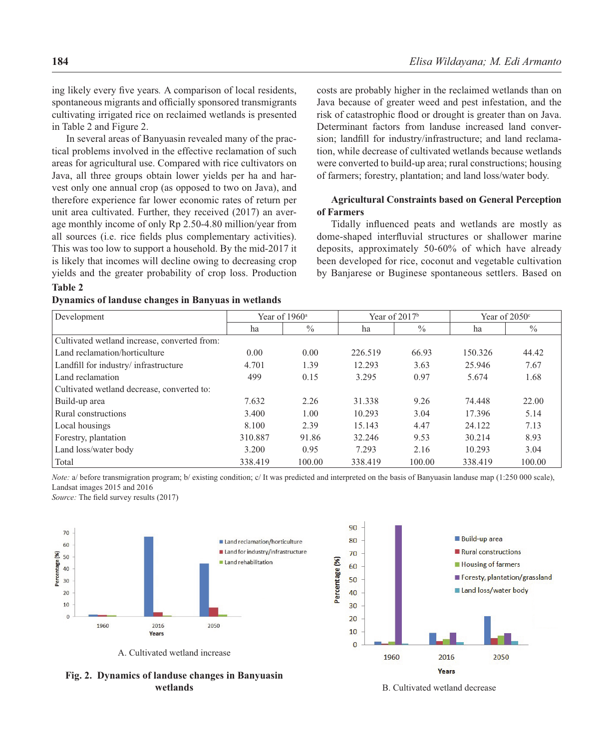ing likely every five years. A comparison of local residents, spontaneous migrants and officially sponsored transmigrants cultivating irrigated rice on reclaimed wetlands is presented in Table 2 and Figure 2.

In several areas of Banyuasin revealed many of the practical problems involved in the effective reclamation of such areas for agricultural use. Compared with rice cultivators on Java, all three groups obtain lower yields per ha and harvest only one annual crop (as opposed to two on Java), and therefore experience far lower economic rates of return per unit area cultivated. Further, they received (2017) an average monthly income of only Rp 2.50-4.80 million/year from all sources (i.e. rice fields plus complementary activities). This was too low to support a household. By the mid-2017 it is likely that incomes will decline owing to decreasing crop yields and the greater probability of crop loss. Production

### **Table 2 Dynamics of landuse changes in Banyuas in wetlands**

costs are probably higher in the reclaimed wetlands than on Java because of greater weed and pest infestation, and the risk of catastrophic flood or drought is greater than on Java. Determinant factors from landuse increased land conversion; landfill for industry/infrastructure; and land reclamation, while decrease of cultivated wetlands because wetlands were converted to build-up area; rural constructions; housing of farmers; forestry, plantation; and land loss/water body.

### **Agricultural Constraints based on General Perception of Farmers**

Tidally influenced peats and wetlands are mostly as dome-shaped interfluvial structures or shallower marine deposits, approximately 50-60% of which have already been developed for rice, coconut and vegetable cultivation by Banjarese or Buginese spontaneous settlers. Based on

| Development                                  | Year of $1960^{\circ}$ |        | Year of $2017b$ |               | Year of $2050^\circ$ |               |
|----------------------------------------------|------------------------|--------|-----------------|---------------|----------------------|---------------|
|                                              | ha                     | $\%$   | ha              | $\frac{0}{0}$ | ha                   | $\frac{0}{0}$ |
| Cultivated wetland increase, converted from: |                        |        |                 |               |                      |               |
| Land reclamation/horticulture                | 0.00                   | 0.00   | 226.519         | 66.93         | 150.326              | 44.42         |
| Landfill for industry/ infrastructure        | 4.701                  | 1.39   | 12.293          | 3.63          | 25.946               | 7.67          |
| Land reclamation                             | 499                    | 0.15   | 3.295           | 0.97          | 5.674                | 1.68          |
| Cultivated wetland decrease, converted to:   |                        |        |                 |               |                      |               |
| Build-up area                                | 7.632                  | 2.26   | 31.338          | 9.26          | 74.448               | 22.00         |
| Rural constructions                          | 3.400                  | 1.00   | 10.293          | 3.04          | 17.396               | 5.14          |
| Local housings                               | 8.100                  | 2.39   | 15.143          | 4.47          | 24.122               | 7.13          |
| Forestry, plantation                         | 310.887                | 91.86  | 32.246          | 9.53          | 30.214               | 8.93          |
| Land loss/water body                         | 3.200                  | 0.95   | 7.293           | 2.16          | 10.293               | 3.04          |
| Total                                        | 338.419                | 100.00 | 338.419         | 100.00        | 338.419              | 100.00        |

*Note:* a/ before transmigration program; b/ existing condition; c/ It was predicted and interpreted on the basis of Banyuasin landuse map (1:250 000 scale), Landsat images 2015 and 2016

*Source:* The field survey results (2017)



A. Cultivated wetland increase



**Fig. 2. Dynamics of landuse changes in Banyuasin wetlands**

B. Cultivated wetland decrease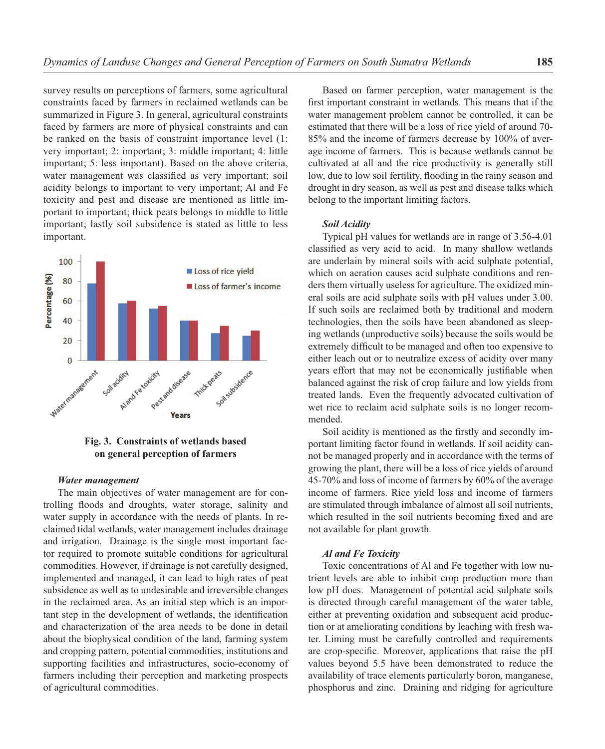survey results on perceptions of farmers, some agricultural constraints faced by farmers in reclaimed wetlands can be summarized in Figure 3. In general, agricultural constraints faced by farmers are more of physical constraints and can be ranked on the basis of constraint importance level (1: very important; 2: important; 3: middle important; 4: little important; 5: less important). Based on the above criteria, water management was classified as very important; soil acidity belongs to important to very important; Al and Fe toxicity and pest and disease are mentioned as little important to important; thick peats belongs to middle to little important; lastly soil subsidence is stated as little to less important.



**Fig. 3. Constraints of wetlands based on general perception of farmers**

#### *Water management*

The main objectives of water management are for controlling floods and droughts, water storage, salinity and water supply in accordance with the needs of plants. In reclaimed tidal wetlands, water management includes drainage and irrigation. Drainage is the single most important factor required to promote suitable conditions for agricultural commodities. However, if drainage is not carefully designed, implemented and managed, it can lead to high rates of peat subsidence as well as to undesirable and irreversible changes in the reclaimed area. As an initial step which is an important step in the development of wetlands, the identification and characterization of the area needs to be done in detail about the biophysical condition of the land, farming system and cropping pattern, potential commodities, institutions and supporting facilities and infrastructures, socio-economy of farmers including their perception and marketing prospects of agricultural commodities.

Based on farmer perception, water management is the first important constraint in wetlands. This means that if the water management problem cannot be controlled, it can be estimated that there will be a loss of rice yield of around 70- 85% and the income of farmers decrease by 100% of average income of farmers. This is because wetlands cannot be cultivated at all and the rice productivity is generally still low, due to low soil fertility, flooding in the rainy season and drought in dry season, as well as pest and disease talks which belong to the important limiting factors.

#### *Soil Acidity*

Typical pH values for wetlands are in range of 3.56-4.01 classified as very acid to acid. In many shallow wetlands are underlain by mineral soils with acid sulphate potential, which on aeration causes acid sulphate conditions and renders them virtually useless for agriculture. The oxidized mineral soils are acid sulphate soils with pH values under 3.00. If such soils are reclaimed both by traditional and modern technologies, then the soils have been abandoned as sleeping wetlands (unproductive soils) because the soils would be extremely difficult to be managed and often too expensive to either leach out or to neutralize excess of acidity over many years effort that may not be economically justifiable when balanced against the risk of crop failure and low yields from treated lands. Even the frequently advocated cultivation of wet rice to reclaim acid sulphate soils is no longer recommended.

Soil acidity is mentioned as the firstly and secondly important limiting factor found in wetlands. If soil acidity cannot be managed properly and in accordance with the terms of growing the plant, there will be a loss of rice yields of around 45-70% and loss of income of farmers by 60% of the average income of farmers. Rice yield loss and income of farmers are stimulated through imbalance of almost all soil nutrients, which resulted in the soil nutrients becoming fixed and are not available for plant growth.

#### *Al and Fe Toxicity*

Toxic concentrations of Al and Fe together with low nutrient levels are able to inhibit crop production more than low pH does. Management of potential acid sulphate soils is directed through careful management of the water table, either at preventing oxidation and subsequent acid production or at ameliorating conditions by leaching with fresh water. Liming must be carefully controlled and requirements are crop-specific. Moreover, applications that raise the pH values beyond 5.5 have been demonstrated to reduce the availability of trace elements particularly boron, manganese, phosphorus and zinc. Draining and ridging for agriculture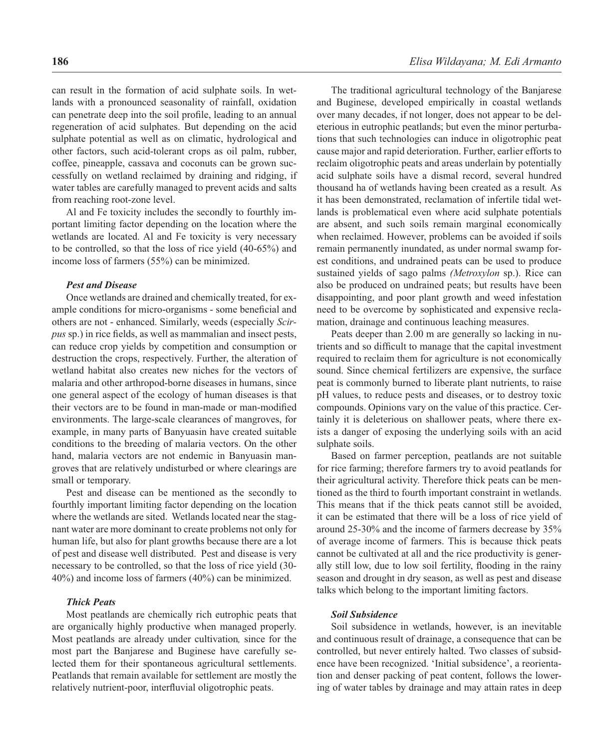can result in the formation of acid sulphate soils. In wetlands with a pronounced seasonality of rainfall, oxidation can penetrate deep into the soil profile, leading to an annual regeneration of acid sulphates. But depending on the acid sulphate potential as well as on climatic, hydrological and other factors, such acid-tolerant crops as oil palm, rubber, coffee, pineapple, cassava and coconuts can be grown successfully on wetland reclaimed by draining and ridging, if water tables are carefully managed to prevent acids and salts from reaching root-zone level.

Al and Fe toxicity includes the secondly to fourthly important limiting factor depending on the location where the wetlands are located. Al and Fe toxicity is very necessary to be controlled, so that the loss of rice yield (40-65%) and income loss of farmers (55%) can be minimized.

#### *Pest and Disease*

Once wetlands are drained and chemically treated, for example conditions for micro-organisms - some beneficial and others are not - enhanced. Similarly, weeds (especially *Scirpus* sp.) in rice fields, as well as mammalian and insect pests, can reduce crop yields by competition and consumption or destruction the crops, respectively. Further, the alteration of wetland habitat also creates new niches for the vectors of malaria and other arthropod-borne diseases in humans, since one general aspect of the ecology of human diseases is that their vectors are to be found in man-made or man-modified environments. The large-scale clearances of mangroves, for example, in many parts of Banyuasin have created suitable conditions to the breeding of malaria vectors. On the other hand, malaria vectors are not endemic in Banyuasin mangroves that are relatively undisturbed or where clearings are small or temporary.

Pest and disease can be mentioned as the secondly to fourthly important limiting factor depending on the location where the wetlands are sited. Wetlands located near the stagnant water are more dominant to create problems not only for human life, but also for plant growths because there are a lot of pest and disease well distributed. Pest and disease is very necessary to be controlled, so that the loss of rice yield (30- 40%) and income loss of farmers (40%) can be minimized.

### *Thick Peats*

Most peatlands are chemically rich eutrophic peats that are organically highly productive when managed properly. Most peatlands are already under cultivation*,* since for the most part the Banjarese and Buginese have carefully selected them for their spontaneous agricultural settlements. Peatlands that remain available for settlement are mostly the relatively nutrient-poor, interfluvial oligotrophic peats.

The traditional agricultural technology of the Banjarese and Buginese, developed empirically in coastal wetlands over many decades, if not longer, does not appear to be deleterious in eutrophic peatlands; but even the minor perturbations that such technologies can induce in oligotrophic peat cause major and rapid deterioration. Further, earlier efforts to reclaim oligotrophic peats and areas underlain by potentially acid sulphate soils have a dismal record, several hundred thousand ha of wetlands having been created as a result*.* As it has been demonstrated, reclamation of infertile tidal wetlands is problematical even where acid sulphate potentials are absent, and such soils remain marginal economically when reclaimed. However, problems can be avoided if soils remain permanently inundated, as under normal swamp forest conditions, and undrained peats can be used to produce sustained yields of sago palms *(Metroxylon* sp.). Rice can also be produced on undrained peats; but results have been disappointing, and poor plant growth and weed infestation need to be overcome by sophisticated and expensive reclamation, drainage and continuous leaching measures.

Peats deeper than 2.00 m are generally so lacking in nutrients and so difficult to manage that the capital investment required to reclaim them for agriculture is not economically sound. Since chemical fertilizers are expensive, the surface peat is commonly burned to liberate plant nutrients, to raise pH values, to reduce pests and diseases, or to destroy toxic compounds. Opinions vary on the value of this practice. Certainly it is deleterious on shallower peats, where there exists a danger of exposing the underlying soils with an acid sulphate soils.

Based on farmer perception, peatlands are not suitable for rice farming; therefore farmers try to avoid peatlands for their agricultural activity. Therefore thick peats can be mentioned as the third to fourth important constraint in wetlands. This means that if the thick peats cannot still be avoided, it can be estimated that there will be a loss of rice yield of around 25-30% and the income of farmers decrease by 35% of average income of farmers. This is because thick peats cannot be cultivated at all and the rice productivity is generally still low, due to low soil fertility, flooding in the rainy season and drought in dry season, as well as pest and disease talks which belong to the important limiting factors.

#### *Soil Subsidence*

Soil subsidence in wetlands, however, is an inevitable and continuous result of drainage, a consequence that can be controlled, but never entirely halted. Two classes of subsidence have been recognized. 'Initial subsidence', a reorientation and denser packing of peat content, follows the lowering of water tables by drainage and may attain rates in deep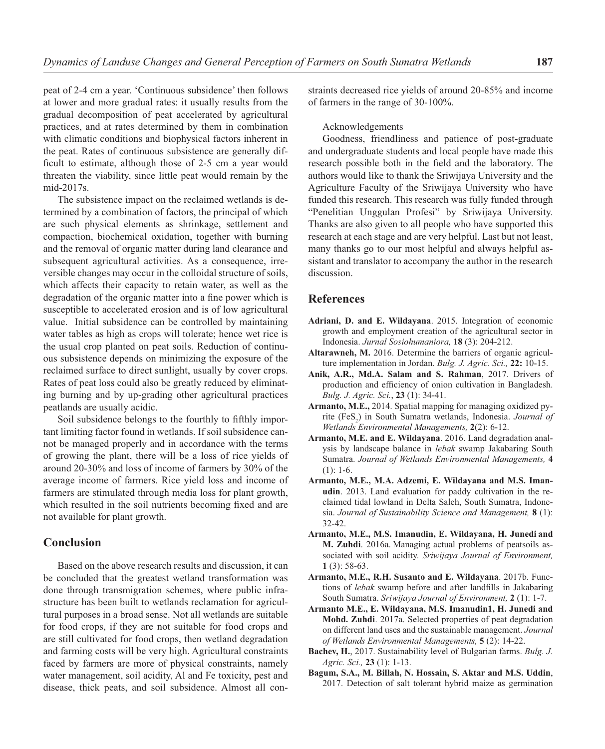peat of 2-4 cm a year. 'Continuous subsidence' then follows at lower and more gradual rates: it usually results from the gradual decomposition of peat accelerated by agricultural practices, and at rates determined by them in combination with climatic conditions and biophysical factors inherent in the peat. Rates of continuous subsistence are generally difficult to estimate, although those of 2-5 cm a year would threaten the viability, since little peat would remain by the mid-2017s.

The subsistence impact on the reclaimed wetlands is determined by a combination of factors, the principal of which are such physical elements as shrinkage, settlement and compaction, biochemical oxidation, together with burning and the removal of organic matter during land clearance and subsequent agricultural activities. As a consequence, irreversible changes may occur in the colloidal structure of soils, which affects their capacity to retain water, as well as the degradation of the organic matter into a fine power which is susceptible to accelerated erosion and is of low agricultural value. Initial subsidence can be controlled by maintaining water tables as high as crops will tolerate; hence wet rice is the usual crop planted on peat soils. Reduction of continuous subsistence depends on minimizing the exposure of the reclaimed surface to direct sunlight, usually by cover crops. Rates of peat loss could also be greatly reduced by eliminating burning and by up-grading other agricultural practices peatlands are usually acidic.

Soil subsidence belongs to the fourthly to fifthly important limiting factor found in wetlands. If soil subsidence cannot be managed properly and in accordance with the terms of growing the plant, there will be a loss of rice yields of around 20-30% and loss of income of farmers by 30% of the average income of farmers. Rice yield loss and income of farmers are stimulated through media loss for plant growth, which resulted in the soil nutrients becoming fixed and are not available for plant growth.

# **Conclusion**

Based on the above research results and discussion, it can be concluded that the greatest wetland transformation was done through transmigration schemes, where public infrastructure has been built to wetlands reclamation for agricultural purposes in a broad sense. Not all wetlands are suitable for food crops, if they are not suitable for food crops and are still cultivated for food crops, then wetland degradation and farming costs will be very high. Agricultural constraints faced by farmers are more of physical constraints, namely water management, soil acidity, Al and Fe toxicity, pest and disease, thick peats, and soil subsidence. Almost all constraints decreased rice yields of around 20-85% and income of farmers in the range of 30-100%.

#### Acknowledgements

Goodness, friendliness and patience of post-graduate and undergraduate students and local people have made this research possible both in the field and the laboratory. The authors would like to thank the Sriwijaya University and the Agriculture Faculty of the Sriwijaya University who have funded this research. This research was fully funded through "Penelitian Unggulan Profesi" by Sriwijaya University. Thanks are also given to all people who have supported this research at each stage and are very helpful. Last but not least, many thanks go to our most helpful and always helpful assistant and translator to accompany the author in the research discussion.

### **References**

- **Adriani, D. and E. Wildayana**. 2015. Integration of economic growth and employment creation of the agricultural sector in Indonesia. *Jurnal Sosiohumaniora,* **18** (3): 204-212.
- **Altarawneh, M.** 2016. Determine the barriers of organic agriculture implementation in Jordan. *Bulg. J. Agric. Sci.,* **22:** 10-15.
- **Anik, A.R., Md.A. Salam and S. Rahman**, 2017. Drivers of production and efficiency of onion cultivation in Bangladesh. *Bulg. J. Agric. Sci.*, **23** (1): 34-41.
- **Armanto, M.E.,** 2014. Spatial mapping for managing oxidized pyrite (FeS<sub>2</sub>) in South Sumatra wetlands, Indonesia. *Journal of Wetlands Environmental Managements,* **2**(2): 6-12.
- **Armanto, M.E. and E. Wildayana**. 2016. Land degradation analysis by landscape balance in *lebak* swamp Jakabaring South Sumatra. *Journal of Wetlands Environmental Managements,* **4**  (1): 1-6.
- **Armanto, M.E., M.A. Adzemi, E. Wildayana and M.S. Imanudin**. 2013. Land evaluation for paddy cultivation in the reclaimed tidal lowland in Delta Saleh, South Sumatra, Indonesia. *Journal of Sustainability Science and Management,* **8** (1): 32-42.
- **Armanto, M.E., M.S. Imanudin, E. Wildayana, H. Junedi and M. Zuhdi**. 2016a. Managing actual problems of peatsoils associated with soil acidity. *Sriwijaya Journal of Environment,* **1** (3): 58-63.
- **Armanto, M.E., R.H. Susanto and E. Wildayana**. 2017b. Functions of *lebak* swamp before and after landfills in Jakabaring South Sumatra. *Sriwijaya Journal of Environment,* **2** (1): 1-7.
- **Armanto M.E., E. Wildayana, M.S. Imanudin1, H. Junedi and Mohd. Zuhdi**. 2017a. Selected properties of peat degradation on different land uses and the sustainable management. *Journal of Wetlands Environmental Managements,* **5** (2): 14-22.
- **Bachev, H.**, 2017. Sustainability level of Bulgarian farms. *Bulg. J. Agric. Sci.,* **23** (1): 1-13.
- **Bagum, S.A., M. Billah, N. Hossain, S. Aktar and M.S. Uddin**, 2017. Detection of salt tolerant hybrid maize as germination